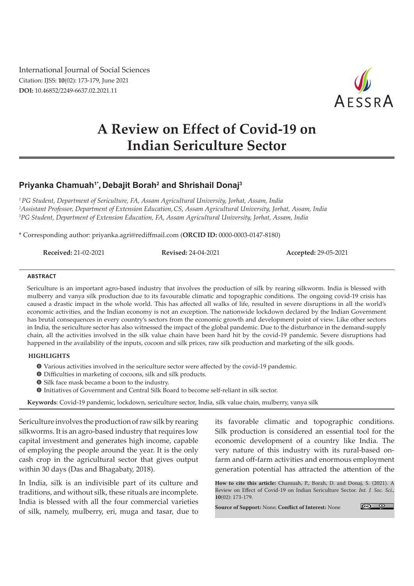International Journal of Social Sciences Citation: IJSS: **10**(02): 173-179, June 2021 **DOI:** 10.46852/2249-6637.02.2021.11



# **A Review on Effect of Covid-19 on Indian Sericulture Sector**

## **Priyanka Chamuah1\*, Debajit Borah2 and Shrishail Donaj3**

*1 PG Student, Department of Sericulture, FA, Assam Agricultural University, Jorhat, Assam, India 2 Assistant Professor, Department of Extension Education,CS, Assam Agricultural University, Jorhat, Assam, India 3 PG Student, Department of Extension Education, FA, Assam Agricultural University, Jorhat, Assam, India*

\* Corresponding author: priyanka.agri@rediffmail.com (**ORCID ID:** 0000-0003-0147-8180)

**Received:** 21-02-2021 **Revised:** 24-04-2021 **Accepted:** 29-05-2021

#### **ABSTRACT**

Sericulture is an important agro-based industry that involves the production of silk by rearing silkworm. India is blessed with mulberry and vanya silk production due to its favourable climatic and topographic conditions. The ongoing covid-19 crisis has caused a drastic impact in the whole world. This has affected all walks of life, resulted in severe disruptions in all the world's economic activities, and the Indian economy is not an exception. The nationwide lockdown declared by the Indian Government has brutal consequences in every country's sectors from the economic growth and development point of view. Like other sectors in India, the sericulture sector has also witnessed the impact of the global pandemic. Due to the disturbance in the demand-supply chain, all the activities involved in the silk value chain have been hard hit by the covid-19 pandemic. Severe disruptions had happened in the availability of the inputs, cocoon and silk prices, raw silk production and marketing of the silk goods.

### **HIGHLIGHTS**

- m Various activities involved in the sericulture sector were affected by the covid-19 pandemic.
- **O** Difficulties in marketing of cocoons, silk and silk products.
- **O** Silk face mask became a boon to the industry.
- $\bullet$  Initiatives of Government and Central Silk Board to become self-reliant in silk sector.

**Keywords**: Covid-19 pandemic, lockdown, sericulture sector, India, silk value chain, mulberry, vanya silk

Sericulture involves the production of raw silk by rearing silkworms. It is an agro-based industry that requires low capital investment and generates high income, capable of employing the people around the year. It is the only cash crop in the agricultural sector that gives output within 30 days (Das and Bhagabaty, 2018).

In India, silk is an indivisible part of its culture and traditions, and without silk, these rituals are incomplete. India is blessed with all the four commercial varieties of silk, namely, mulberry, eri, muga and tasar, due to

its favorable climatic and topographic conditions. Silk production is considered an essential tool for the economic development of a country like India. The very nature of this industry with its rural-based onfarm and off-farm activities and enormous employment generation potential has attracted the attention of the

**How to cite this article:** Chamuah, P., Borah, D. and Donaj, S. (2021). A Review on Effect of Covid-19 on Indian Sericulture Sector. *Int. J. Soc. Sci.,* **10**(02): 173-179.

**Source of Support:** None; **Conflict of Interest:** None

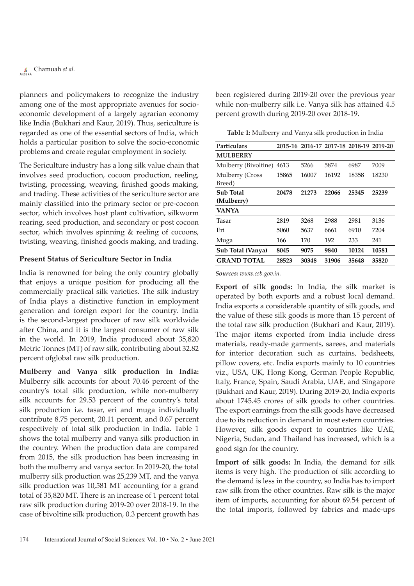planners and policymakers to recognize the industry among one of the most appropriate avenues for socioeconomic development of a largely agrarian economy like India (Bukhari and Kaur, 2019). Thus, sericulture is regarded as one of the essential sectors of India, which holds a particular position to solve the socio-economic problems and create regular employment in society.

The Sericulture industry has a long silk value chain that involves seed production, cocoon production, reeling, twisting, processing, weaving, finished goods making, and trading. These activities of the sericulture sector are mainly classified into the primary sector or pre-cocoon sector, which involves host plant cultivation, silkworm rearing, seed production, and secondary or post cocoon sector, which involves spinning & reeling of cocoons, twisting, weaving, finished goods making, and trading.

### **Present Status of Sericulture Sector in India**

India is renowned for being the only country globally that enjoys a unique position for producing all the commercially practical silk varieties. The silk industry of India plays a distinctive function in employment generation and foreign export for the country. India is the second-largest producer of raw silk worldwide after China, and it is the largest consumer of raw silk in the world. In 2019, India produced about 35,820 Metric Tonnes (MT) of raw silk, contributing about 32.82 percent ofglobal raw silk production.

**Mulberry and Vanya silk production in India:**  Mulberry silk accounts for about 70.46 percent of the country's total silk production, while non-mulberry silk accounts for 29.53 percent of the country's total silk production i.e. tasar, eri and muga individually contribute 8.75 percent, 20.11 percent, and 0.67 percent respectively of total silk production in India. Table 1 shows the total mulberry and vanya silk production in the country. When the production data are compared from 2015, the silk production has been increasing in both the mulberry and vanya sector. In 2019-20, the total mulberry silk production was 25,239 MT, and the vanya silk production was 10,581 MT accounting for a grand total of 35,820 MT. There is an increase of 1 percent total raw silk production during 2019-20 over 2018-19. In the case of bivoltine silk production, 0.3 percent growth has been registered during 2019-20 over the previous year while non-mulberry silk i.e. Vanya silk has attained 4.5 percent growth during 2019-20 over 2018-19.

**Table 1:** Mulberry and Vanya silk production in India

| Particulars               |       | 2015-16 2016-17 2017-18 2018-19 2019-20 |       |       |       |
|---------------------------|-------|-----------------------------------------|-------|-------|-------|
| <b>MULBERRY</b>           |       |                                         |       |       |       |
| Mulberry (Bivoltine)      | 4613  | 5266                                    | 5874  | 6987  | 7009  |
| Mulberry (Cross<br>Breed) | 15865 | 16007                                   | 16192 | 18358 | 18230 |
|                           |       |                                         |       |       |       |
| <b>Sub Total</b>          | 20478 | 21273                                   | 22066 | 25345 | 25239 |
| (Mulberry)                |       |                                         |       |       |       |
| <b>VANYA</b>              |       |                                         |       |       |       |
| Tasar                     | 2819  | 3268                                    | 2988  | 2981  | 3136  |
| Eri                       | 5060  | 5637                                    | 6661  | 6910  | 7204  |
| Muga                      | 166   | 170                                     | 192   | 233   | 241   |
| Sub Total (Vanya)         | 8045  | 9075                                    | 9840  | 10124 | 10581 |
| <b>GRAND TOTAL</b>        | 28523 | 30348                                   | 31906 | 35648 | 35820 |

*Sources: www.csb.gov.in.*

**Export of silk goods:** In India, the silk market is operated by both exports and a robust local demand. India exports a considerable quantity of silk goods, and the value of these silk goods is more than 15 percent of the total raw silk production (Bukhari and Kaur, 2019). The major items exported from India include dress materials, ready-made garments, sarees, and materials for interior decoration such as curtains, bedsheets, pillow covers, etc. India exports mainly to 10 countries viz., USA, UK, Hong Kong, German People Republic, Italy, France, Spain, Saudi Arabia, UAE, and Singapore (Bukhari and Kaur, 2019). During 2019-20, India exports about 1745.45 crores of silk goods to other countries. The export earnings from the silk goods have decreased due to its reduction in demand in most estern countries. However, silk goods export to countries like UAE, Nigeria, Sudan, and Thailand has increased, which is a good sign for the country.

**Import of silk goods:** In India, the demand for silk items is very high. The production of silk according to the demand is less in the country, so India has to import raw silk from the other countries. Raw silk is the major item of imports, accounting for about 69.54 percent of the total imports, followed by fabrics and made-ups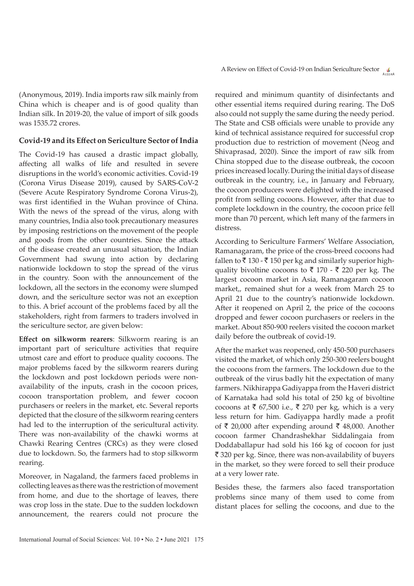(Anonymous, 2019). India imports raw silk mainly from China which is cheaper and is of good quality than Indian silk. In 2019-20, the value of import of silk goods was 1535.72 crores.

### **Covid-19 and its Effect on Sericulture Sector of India**

The Covid-19 has caused a drastic impact globally, affecting all walks of life and resulted in severe disruptions in the world's economic activities. Covid-19 (Corona Virus Disease 2019), caused by SARS-CoV-2 (Severe Acute Respiratory Syndrome Corona Virus-2), was first identified in the Wuhan province of China. With the news of the spread of the virus, along with many countries, India also took precautionary measures by imposing restrictions on the movement of the people and goods from the other countries. Since the attack of the disease created an unusual situation, the Indian Government had swung into action by declaring nationwide lockdown to stop the spread of the virus in the country. Soon with the announcement of the lockdown, all the sectors in the economy were slumped down, and the sericulture sector was not an exception to this. A brief account of the problems faced by all the stakeholders, right from farmers to traders involved in the sericulture sector, are given below:

**Effect on silkworm rearers**: Silkworm rearing is an important part of sericulture activities that require utmost care and effort to produce quality cocoons. The major problems faced by the silkworm rearers during the lockdown and post lockdown periods were nonavailability of the inputs, crash in the cocoon prices, cocoon transportation problem, and fewer cocoon purchasers or reelers in the market, etc. Several reports depicted that the closure of the silkworm rearing centers had led to the interruption of the sericultural activity. There was non-availability of the chawki worms at Chawki Rearing Centres (CRCs) as they were closed due to lockdown. So, the farmers had to stop silkworm rearing.

Moreover, in Nagaland, the farmers faced problems in collecting leaves as there was the restriction of movement from home, and due to the shortage of leaves, there was crop loss in the state. Due to the sudden lockdown announcement, the rearers could not procure the

required and minimum quantity of disinfectants and other essential items required during rearing. The DoS also could not supply the same during the needy period. The State and CSB officials were unable to provide any kind of technical assistance required for successful crop production due to restriction of movement (Neog and Shivaprasad, 2020). Since the import of raw silk from China stopped due to the disease outbreak, the cocoon prices increased locally. During the initial days of disease outbreak in the country, i.e., in January and February, the cocoon producers were delighted with the increased profit from selling cocoons. However, after that due to complete lockdown in the country, the cocoon price fell more than 70 percent, which left many of the farmers in distress.

According to Sericulture Farmers' Welfare Association, Ramanagaram, the price of the cross-breed cocoons had fallen to  $\bar{\tau}$  130 -  $\bar{\tau}$  150 per kg and similarly superior highquality bivoltine cocoons to  $\bar{\tau}$  170 -  $\bar{\tau}$  220 per kg. The largest cocoon market in Asia, Ramanagaram cocoon market,, remained shut for a week from March 25 to April 21 due to the country's nationwide lockdown. After it reopened on April 2, the price of the cocoons dropped and fewer cocoon purchasers or reelers in the market. About 850-900 reelers visited the cocoon market daily before the outbreak of covid-19.

After the market was reopened, only 450-500 purchasers visited the market, of which only 250-300 reelers bought the cocoons from the farmers. The lockdown due to the outbreak of the virus badly hit the expectation of many farmers. Nikhirappa Gadiyappa from the Haveri district of Karnataka had sold his total of 250 kg of bivoltine cocoons at  $\bar{\tau}$  67,500 i.e.,  $\bar{\tau}$  270 per kg, which is a very less return for him. Gadiyappa hardly made a profit of  $\bar{\tau}$  20,000 after expending around  $\bar{\tau}$  48,000. Another cocoon farmer Chandrashekhar Siddalingaia from Doddaballapur had sold his 166 kg of cocoon for just  $\bar{\mathcal{F}}$  320 per kg. Since, there was non-availability of buyers in the market, so they were forced to sell their produce at a very lower rate.

Besides these, the farmers also faced transportation problems since many of them used to come from distant places for selling the cocoons, and due to the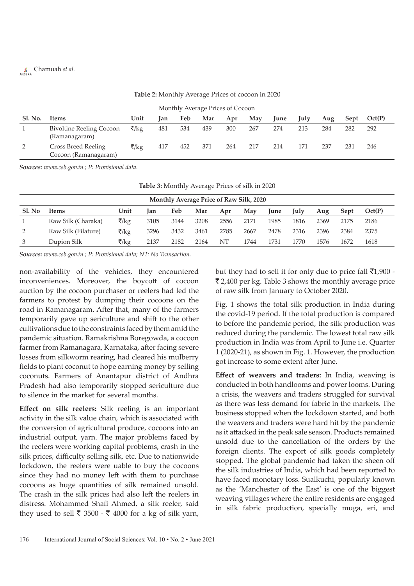# Chamuah *et al.*

| .                                |                                                    |         |     |     |     |     |     |             |      |     |      |        |
|----------------------------------|----------------------------------------------------|---------|-----|-----|-----|-----|-----|-------------|------|-----|------|--------|
| Monthly Average Prices of Cocoon |                                                    |         |     |     |     |     |     |             |      |     |      |        |
| <b>Sl. No.</b>                   | Items                                              | Unit    | lan | Feb | Mar | Apr | May | <b>June</b> | July | Aug | Sept | Oct(P) |
|                                  | <b>Bivoltine Reeling Cocoon</b><br>(Ramanagaram)   | ₹/ $kg$ | 481 | 534 | 439 | 300 | 267 | 274         | 213  | 284 | 282  | 292    |
| 2                                | <b>Cross Breed Reeling</b><br>Cocoon (Ramanagaram) | ₹/kg    | 417 | 452 | 371 | 264 | 217 | 214         | 171  | 237 | 231  | 246    |

**Table 2:** Monthly Average Prices of cocoon in 2020

*Sources: www.csb.gov.in ; P: Provisional data.*

| Table 3: Monthly Average Prices of silk in 2020 |  |  |
|-------------------------------------------------|--|--|
|-------------------------------------------------|--|--|

| Monthly Average Price of Raw Silk, 2020 |                     |         |      |      |      |      |      |             |      |      |      |        |
|-----------------------------------------|---------------------|---------|------|------|------|------|------|-------------|------|------|------|--------|
| Sl. No                                  | <b>Items</b>        | Unit    | lan  | Feb  | Mar  | Apr  | May  | <b>lune</b> | Julv | Aug  | Sept | Oct(P) |
|                                         | Raw Silk (Charaka)  | ₹/ $kg$ | 3105 | 3144 | 3208 | 2556 | 2171 | 1985        | 1816 | 2369 | 2175 | 2186   |
| 2                                       | Raw Silk (Filature) | ₹/ $kg$ | 3296 | 3432 | 3461 | 2785 | 2667 | 2478        | 2316 | 2396 | 2384 | 2375   |
| 3                                       | Dupion Silk         | ₹/kg    | 2137 | 2182 | 2164 | NT   | 1744 | 1731        | 1770 | 1576 | 1672 | 1618   |

*Sources: www.csb.gov.in ; P: Provisional data; NT: No Transaction.*

non-availability of the vehicles, they encountered inconveniences. Moreover, the boycott of cocoon auction by the cocoon purchaser or reelers had led the farmers to protest by dumping their cocoons on the road in Ramanagaram. After that, many of the farmers temporarily gave up sericulture and shift to the other cultivations due to the constraints faced by them amid the pandemic situation. Ramakrishna Boregowda, a cocoon farmer from Ramanagara, Karnataka, after facing severe losses from silkworm rearing, had cleared his mulberry fields to plant coconut to hope earning money by selling coconuts. Farmers of Anantapur district of Andhra Pradesh had also temporarily stopped sericulture due to silence in the market for several months.

**Effect on silk reelers:** Silk reeling is an important activity in the silk value chain, which is associated with the conversion of agricultural produce, cocoons into an industrial output, yarn. The major problems faced by the reelers were working capital problems, crash in the silk prices, difficulty selling silk, etc. Due to nationwide lockdown, the reelers were uable to buy the cocoons since they had no money left with them to purchase cocoons as huge quantities of silk remained unsold. The crash in the silk prices had also left the reelers in distress. Mohammed Shafi Ahmed, a silk reeler, said they used to sell  $\bar{\tau}$  3500 -  $\bar{\tau}$  4000 for a kg of silk yarn,

but they had to sell it for only due to price fall  $\bar{z}1,900$  - $\bar{\xi}$  2,400 per kg. Table 3 shows the monthly average price of raw silk from January to October 2020.

Fig. 1 shows the total silk production in India during the covid-19 period. If the total production is compared to before the pandemic period, the silk production was reduced during the pandemic. The lowest total raw silk production in India was from April to June i.e. Quarter 1 (2020-21), as shown in Fig. 1. However, the production got increase to some extent after June.

**Effect of weavers and traders:** In India, weaving is conducted in both handlooms and power looms. During a crisis, the weavers and traders struggled for survival as there was less demand for fabric in the markets. The business stopped when the lockdown started, and both the weavers and traders were hard hit by the pandemic as it attacked in the peak sale season. Products remained unsold due to the cancellation of the orders by the foreign clients. The export of silk goods completely stopped. The global pandemic had taken the sheen off the silk industries of India, which had been reported to have faced monetary loss. Sualkuchi, popularly known as the 'Manchester of the East' is one of the biggest weaving villages where the entire residents are engaged in silk fabric production, specially muga, eri, and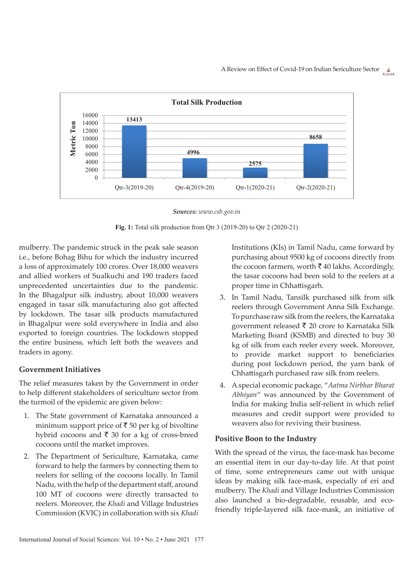

*Sources: www.csb.gov.in*

**Fig. 1:** Total silk production from Qtr 3 (2019-20) to Qtr 2 (2020-21)

mulberry. The pandemic struck in the peak sale season i.e., before Bohag Bihu for which the industry incurred a loss of approximately 100 crores. Over 18,000 weavers and allied workers of Sualkuchi and 190 traders faced unprecedented uncertainties due to the pandemic. In the Bhagalpur silk industry, about 10,000 weavers engaged in tasar silk manufacturing also got affected by lockdown. The tasar silk products manufactured in Bhagalpur were sold everywhere in India and also exported to foreign countries. The lockdown stopped the entire business, which left both the weavers and traders in agony.

### **Government Initiatives**

The relief measures taken by the Government in order to help different stakeholders of sericulture sector from the turmoil of the epidemic are given below:

- 1. The State government of Karnataka announced a minimum support price of  $\bar{c}$  50 per kg of bivoltine hybrid cocoons and  $\bar{\bar{\xi}}$  30 for a kg of cross-breed cocoons until the market improves.
- 2. The Department of Sericulture, Karnataka, came forward to help the farmers by connecting them to reelers for selling of the cocoons locally. In Tamil Nadu, with the help of the department staff, around 100 MT of cocoons were directly transacted to reelers. Moreover, the *Khadi* and Village Industries Commission (KVIC) in collaboration with six *Khadi*

International Journal of Social Sciences: Vol. 10 • No. 2 • June 2021 177

Institutions (KIs) in Tamil Nadu, came forward by purchasing about 9500 kg of cocoons directly from the cocoon farmers, worth  $\bar{\bar{\tau}}$  40 lakhs. Accordingly, the tasar cocoons had been sold to the reelers at a proper time in Chhattisgarh.

- 3. In Tamil Nadu, Tansilk purchased silk from silk reelers through Government Anna Silk Exchange. To purchase raw silk from the reelers, the Karnataka government released  $\bar{\tau}$  20 crore to Karnataka Silk Marketing Board (KSMB) and directed to buy 30 kg of silk from each reeler every week. Moreover, to provide market support to beneficiaries during post lockdown period, the yarn bank of Chhattisgarh purchased raw silk from reelers.
- 4. A special economic package, "*Aatma Nirbhar Bharat Abhiyan*" was announced by the Government of India for making India self-relient in which relief measures and credit support were provided to weavers also for reviving their business.

### **Positive Boon to the Industry**

With the spread of the virus, the face-mask has become an essential item in our day-to-day life. At that point of time, some entrepreneurs came out with unique ideas by making silk face-mask, especially of eri and mulberry. The *Khadi* and Village Industries Commission also launched a bio-degradable, reusable, and ecofriendly triple-layered silk face-mask, an initiative of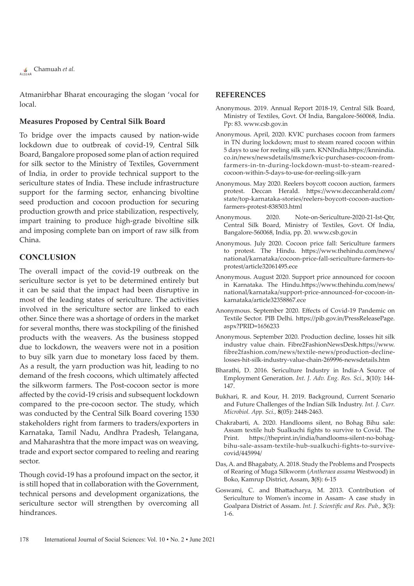Chamuah *et al.*

Atmanirbhar Bharat encouraging the slogan 'vocal for local.

### **Measures Proposed by Central Silk Board**

To bridge over the impacts caused by nation-wide lockdown due to outbreak of covid-19, Central Silk Board, Bangalore proposed some plan of action required for silk sector to the Ministry of Textiles, Government of India, in order to provide technical support to the sericulture states of India. These include infrastructure support for the farming sector, enhancing bivoltine seed production and cocoon production for securing production growth and price stabilization, respectively, impart training to produce high-grade bivoltine silk and imposing complete ban on import of raw silk from China.

### **CONCLUSION**

The overall impact of the covid-19 outbreak on the sericulture sector is yet to be determined entirely but it can be said that the impact had been disruptive in most of the leading states of sericulture. The activities involved in the sericulture sector are linked to each other. Since there was a shortage of orders in the market for several months, there was stockpiling of the finished products with the weavers. As the business stopped due to lockdown, the weavers were not in a position to buy silk yarn due to monetary loss faced by them. As a result, the yarn production was hit, leading to no demand of the fresh cocoons, which ultimately affected the silkworm farmers. The Post-cocoon sector is more affected by the covid-19 crisis and subsequent lockdown compared to the pre-cocoon sector. The study, which was conducted by the Central Silk Board covering 1530 stakeholders right from farmers to traders/exporters in Karnataka, Tamil Nadu, Andhra Pradesh, Telangana, and Maharashtra that the more impact was on weaving, trade and export sector compared to reeling and rearing sector.

Though covid-19 has a profound impact on the sector, it is still hoped that in collaboration with the Government, technical persons and development organizations, the sericulture sector will strengthen by overcoming all hindrances.

### **REFERENCES**

- Anonymous. 2019. Annual Report 2018-19, Central Silk Board, Ministry of Textiles, Govt. Of India, Bangalore-560068, India. Pp: 83. www.csb.gov.in
- Anonymous. April, 2020. KVIC purchases cocoon from farmers in TN during lockdown; must to steam reared cocoon within 5 days to use for reeling silk yarn. KNNIndia.https://knnindia. co.in/news/newsdetails/msme/kvic-purchases-cocoon-fromfarmers-in-tn-during-lockdown-must-to-steam-rearedcocoon-within-5-days-to-use-for-reeling-silk-yarn
- Anonymous. May 2020. Reelers boycott cocoon auction, farmers protest. Deccan Herald. https://www.deccanherald.com/ state/top-karnataka-stories/reelers-boycott-cocoon-auctionfarmers-protest-838503.html
- Anonymous. 2020. Note-on-Sericulture-2020-21-Ist-Qtr, Central Silk Board, Ministry of Textiles, Govt. Of India, Bangalore-560068, India, pp. 20. www.csb.gov.in
- Anonymous. July 2020. Cocoon price fall: Sericulture farmers to protest. The Hindu. https://www.thehindu.com/news/ national/karnataka/cocoon-price-fall-sericulture-farmers-toprotest/article32061495.ece
- Anonymous. August 2020. Support price announced for cocoon in Karnataka. The Hindu.https://www.thehindu.com/news/ national/karnataka/support-price-announced-for-cocoon-inkarnataka/article32358867.ece
- Anonymous. September 2020. Effects of Covid-19 Pandemic on Textile Sector. PIB Delhi. https://pib.gov.in/PressReleasePage. aspx?PRID=1656233
- Anonymous. September 2020. Production decline, losses hit silk industry value chain. Fibre2FashionNewsDesk.https://www. fibre2fashion.com/news/textile-news/production-declinelosses-hit-silk-industry-value-chain-269996-newsdetails.htm
- Bharathi, D. 2016. Sericulture Industry in India-A Source of Employment Generation. *Int. J. Adv. Eng. Res. Sci.,* **3**(10): 144- 147.
- Bukhari, R. and Kour, H. 2019. Background, Current Scenario and Future Challenges of the Indian Silk Industry. *Int. J. Curr. Microbiol. App. Sci.,* **8**(05): 2448-2463.
- Chakrabarti, A. 2020. Handlooms silent, no Bohag Bihu sale: Assam textile hub Sualkuchi fights to survive to Covid. The Print. https://theprint.in/india/handlooms-silent-no-bohagbihu-sale-assam-textile-hub-sualkuchi-fights-to-survivecovid/445994/
- Das, A. and Bhagabaty, A. 2018. Study the Problems and Prospects of Rearing of Muga Silkworm (*Antheraea assama* Westwood) in Boko, Kamrup District, Assam, **3**(8): 6-15
- Goswami, C. and Bhattacharya, M. 2013. Contribution of Sericulture to Women's income in Assam- A case study in Goalpara District of Assam. *Int. J. Scientific and Res. Pub.,* **3**(3): 1-6.